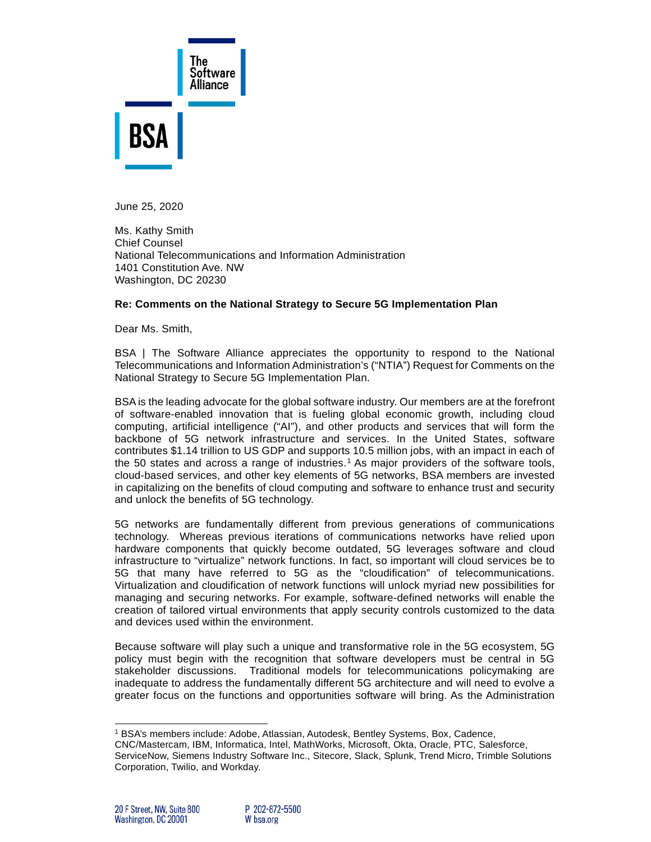

June 25, 2020

Ms. Kathy Smith Chief Counsel National Telecommunications and Information Administration 1401 Constitution Ave. NW Washington, DC 20230

#### **Re: Comments on the National Strategy to Secure 5G Implementation Plan**

Dear Ms. Smith,

BSA | The Software Alliance appreciates the opportunity to respond to the National Telecommunications and Information Administration's ("NTIA") Request for Comments on the National Strategy to Secure 5G Implementation Plan.

BSA is the leading advocate for the global software industry. Our members are at the forefront of software-enabled innovation that is fueling global economic growth, including cloud computing, artificial intelligence ("AI"), and other products and services that will form the backbone of 5G network infrastructure and services. In the United States, software contributes \$1.14 trillion to US GDP and supports 10.5 million jobs, with an impact in each of the 50 states and across a range of industries.<sup>[1](#page-0-0)</sup> As major providers of the software tools, cloud-based services, and other key elements of 5G networks, BSA members are invested in capitalizing on the benefits of cloud computing and software to enhance trust and security and unlock the benefits of 5G technology.

5G networks are fundamentally different from previous generations of communications technology. Whereas previous iterations of communications networks have relied upon hardware components that quickly become outdated, 5G leverages software and cloud infrastructure to "virtualize" network functions. In fact, so important will cloud services be to 5G that many have referred to 5G as the "cloudification" of telecommunications. Virtualization and cloudification of network functions will unlock myriad new possibilities for managing and securing networks. For example, software-defined networks will enable the creation of tailored virtual environments that apply security controls customized to the data and devices used within the environment.

Because software will play such a unique and transformative role in the 5G ecosystem, 5G policy must begin with the recognition that software developers must be central in 5G stakeholder discussions. Traditional models for telecommunications policymaking are inadequate to address the fundamentally different 5G architecture and will need to evolve a greater focus on the functions and opportunities software will bring. As the Administration

<sup>1</sup> BSA's members include: Adobe, Atlassian, Autodesk, Bentley Systems, Box, Cadence,

<span id="page-0-0"></span>CNC/Mastercam, IBM, Informatica, Intel, MathWorks, Microsoft, Okta, Oracle, PTC, Salesforce,

ServiceNow, Siemens Industry Software Inc., Sitecore, Slack, Splunk, Trend Micro, Trimble Solutions Corporation, Twilio, and Workday.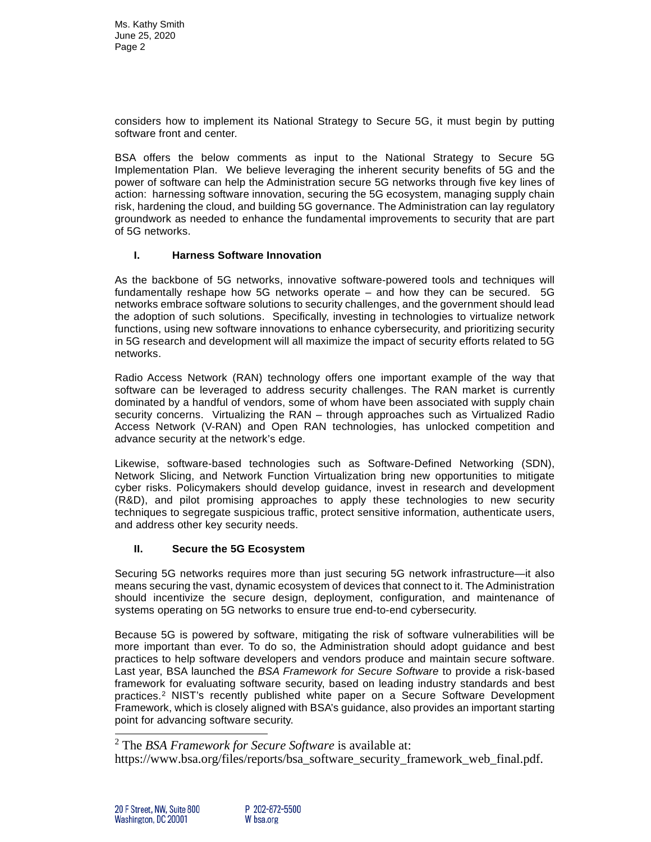considers how to implement its National Strategy to Secure 5G, it must begin by putting software front and center.

BSA offers the below comments as input to the National Strategy to Secure 5G Implementation Plan. We believe leveraging the inherent security benefits of 5G and the power of software can help the Administration secure 5G networks through five key lines of action: harnessing software innovation, securing the 5G ecosystem, managing supply chain risk, hardening the cloud, and building 5G governance. The Administration can lay regulatory groundwork as needed to enhance the fundamental improvements to security that are part of 5G networks.

## **I. Harness Software Innovation**

As the backbone of 5G networks, innovative software-powered tools and techniques will fundamentally reshape how 5G networks operate – and how they can be secured. 5G networks embrace software solutions to security challenges, and the government should lead the adoption of such solutions. Specifically, investing in technologies to virtualize network functions, using new software innovations to enhance cybersecurity, and prioritizing security in 5G research and development will all maximize the impact of security efforts related to 5G networks.

Radio Access Network (RAN) technology offers one important example of the way that software can be leveraged to address security challenges. The RAN market is currently dominated by a handful of vendors, some of whom have been associated with supply chain security concerns. Virtualizing the RAN – through approaches such as Virtualized Radio Access Network (V-RAN) and Open RAN technologies, has unlocked competition and advance security at the network's edge.

Likewise, software-based technologies such as Software-Defined Networking (SDN), Network Slicing, and Network Function Virtualization bring new opportunities to mitigate cyber risks. Policymakers should develop guidance, invest in research and development (R&D), and pilot promising approaches to apply these technologies to new security techniques to segregate suspicious traffic, protect sensitive information, authenticate users, and address other key security needs.

# **II. Secure the 5G Ecosystem**

Securing 5G networks requires more than just securing 5G network infrastructure—it also means securing the vast, dynamic ecosystem of devices that connect to it. The Administration should incentivize the secure design, deployment, configuration, and maintenance of systems operating on 5G networks to ensure true end-to-end cybersecurity.

Because 5G is powered by software, mitigating the risk of software vulnerabilities will be more important than ever. To do so, the Administration should adopt guidance and best practices to help software developers and vendors produce and maintain secure software. Last year, BSA launched the *BSA Framework for Secure Software* to provide a risk-based framework for evaluating software security, based on leading industry standards and best practices.[2](#page-1-0) NIST's recently published white paper on a Secure Software Development Framework, which is closely aligned with BSA's guidance, also provides an important starting point for advancing software security.

<span id="page-1-0"></span><sup>2</sup> The *BSA Framework for Secure Software* is available at:

[https://www.bsa.org/files/reports/bsa\\_software\\_security\\_framework\\_web\\_final.pdf.](https://www.bsa.org/files/reports/bsa_software_security_framework_web_final.pdf)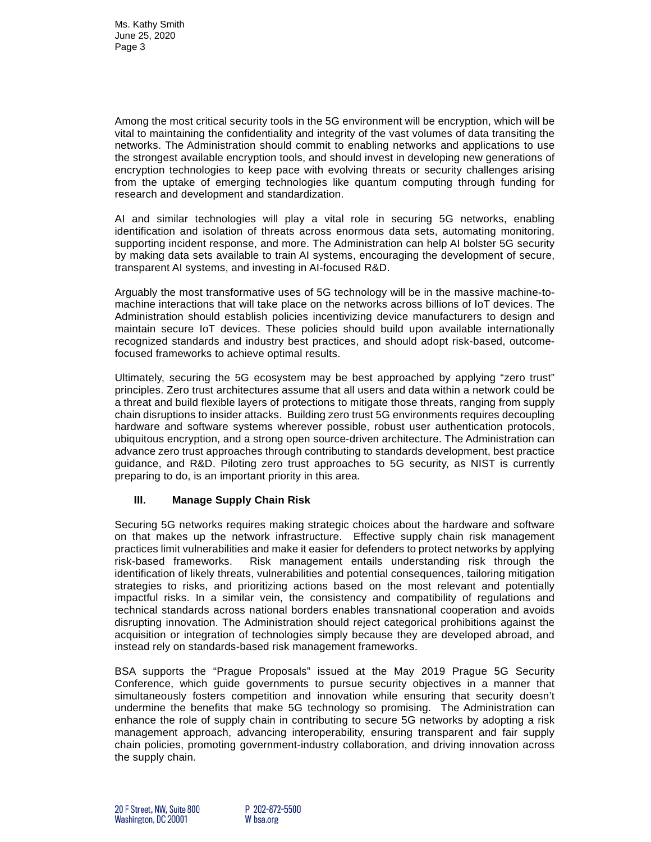Among the most critical security tools in the 5G environment will be encryption, which will be vital to maintaining the confidentiality and integrity of the vast volumes of data transiting the networks. The Administration should commit to enabling networks and applications to use the strongest available encryption tools, and should invest in developing new generations of encryption technologies to keep pace with evolving threats or security challenges arising from the uptake of emerging technologies like quantum computing through funding for research and development and standardization.

AI and similar technologies will play a vital role in securing 5G networks, enabling identification and isolation of threats across enormous data sets, automating monitoring, supporting incident response, and more. The Administration can help AI bolster 5G security by making data sets available to train AI systems, encouraging the development of secure, transparent AI systems, and investing in AI-focused R&D.

Arguably the most transformative uses of 5G technology will be in the massive machine-tomachine interactions that will take place on the networks across billions of IoT devices. The Administration should establish policies incentivizing device manufacturers to design and maintain secure IoT devices. These policies should build upon available internationally recognized standards and industry best practices, and should adopt risk-based, outcomefocused frameworks to achieve optimal results.

Ultimately, securing the 5G ecosystem may be best approached by applying "zero trust" principles. Zero trust architectures assume that all users and data within a network could be a threat and build flexible layers of protections to mitigate those threats, ranging from supply chain disruptions to insider attacks. Building zero trust 5G environments requires decoupling hardware and software systems wherever possible, robust user authentication protocols, ubiquitous encryption, and a strong open source-driven architecture. The Administration can advance zero trust approaches through contributing to standards development, best practice guidance, and R&D. Piloting zero trust approaches to 5G security, as NIST is currently preparing to do, is an important priority in this area.

## **III. Manage Supply Chain Risk**

Securing 5G networks requires making strategic choices about the hardware and software on that makes up the network infrastructure. Effective supply chain risk management practices limit vulnerabilities and make it easier for defenders to protect networks by applying risk-based frameworks. Risk management entails understanding risk through the identification of likely threats, vulnerabilities and potential consequences, tailoring mitigation strategies to risks, and prioritizing actions based on the most relevant and potentially impactful risks. In a similar vein, the consistency and compatibility of regulations and technical standards across national borders enables transnational cooperation and avoids disrupting innovation. The Administration should reject categorical prohibitions against the acquisition or integration of technologies simply because they are developed abroad, and instead rely on standards-based risk management frameworks.

BSA supports the "Prague Proposals" issued at the May 2019 Prague 5G Security Conference, which guide governments to pursue security objectives in a manner that simultaneously fosters competition and innovation while ensuring that security doesn't undermine the benefits that make 5G technology so promising. The Administration can enhance the role of supply chain in contributing to secure 5G networks by adopting a risk management approach, advancing interoperability, ensuring transparent and fair supply chain policies, promoting government-industry collaboration, and driving innovation across the supply chain.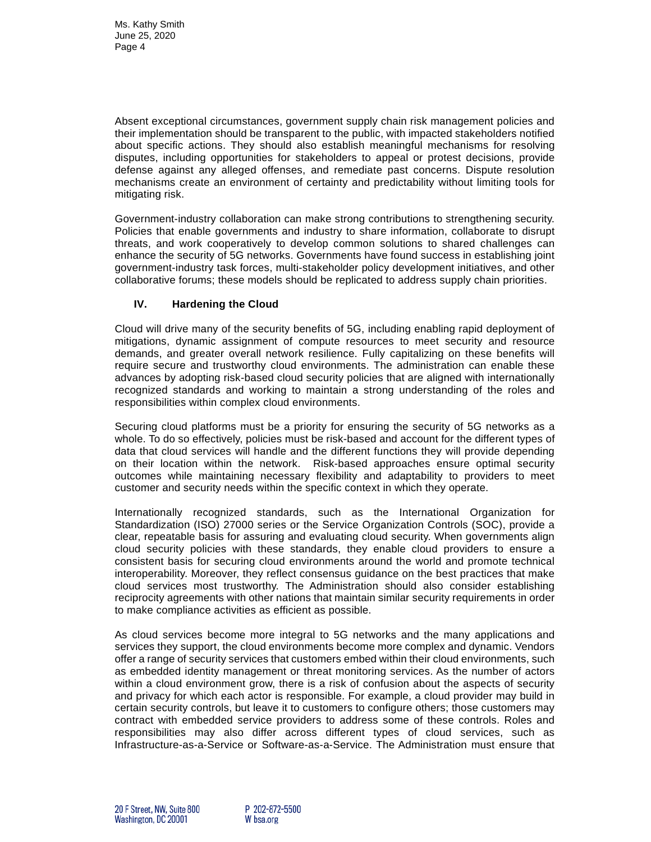Absent exceptional circumstances, government supply chain risk management policies and their implementation should be transparent to the public, with impacted stakeholders notified about specific actions. They should also establish meaningful mechanisms for resolving disputes, including opportunities for stakeholders to appeal or protest decisions, provide defense against any alleged offenses, and remediate past concerns. Dispute resolution mechanisms create an environment of certainty and predictability without limiting tools for mitigating risk.

Government-industry collaboration can make strong contributions to strengthening security. Policies that enable governments and industry to share information, collaborate to disrupt threats, and work cooperatively to develop common solutions to shared challenges can enhance the security of 5G networks. Governments have found success in establishing joint government-industry task forces, multi-stakeholder policy development initiatives, and other collaborative forums; these models should be replicated to address supply chain priorities.

## **IV. Hardening the Cloud**

Cloud will drive many of the security benefits of 5G, including enabling rapid deployment of mitigations, dynamic assignment of compute resources to meet security and resource demands, and greater overall network resilience. Fully capitalizing on these benefits will require secure and trustworthy cloud environments. The administration can enable these advances by adopting risk-based cloud security policies that are aligned with internationally recognized standards and working to maintain a strong understanding of the roles and responsibilities within complex cloud environments.

Securing cloud platforms must be a priority for ensuring the security of 5G networks as a whole. To do so effectively, policies must be risk-based and account for the different types of data that cloud services will handle and the different functions they will provide depending on their location within the network. Risk-based approaches ensure optimal security outcomes while maintaining necessary flexibility and adaptability to providers to meet customer and security needs within the specific context in which they operate.

Internationally recognized standards, such as the International Organization for Standardization (ISO) 27000 series or the Service Organization Controls (SOC), provide a clear, repeatable basis for assuring and evaluating cloud security. When governments align cloud security policies with these standards, they enable cloud providers to ensure a consistent basis for securing cloud environments around the world and promote technical interoperability. Moreover, they reflect consensus guidance on the best practices that make cloud services most trustworthy. The Administration should also consider establishing reciprocity agreements with other nations that maintain similar security requirements in order to make compliance activities as efficient as possible.

As cloud services become more integral to 5G networks and the many applications and services they support, the cloud environments become more complex and dynamic. Vendors offer a range of security services that customers embed within their cloud environments, such as embedded identity management or threat monitoring services. As the number of actors within a cloud environment grow, there is a risk of confusion about the aspects of security and privacy for which each actor is responsible. For example, a cloud provider may build in certain security controls, but leave it to customers to configure others; those customers may contract with embedded service providers to address some of these controls. Roles and responsibilities may also differ across different types of cloud services, such as Infrastructure-as-a-Service or Software-as-a-Service. The Administration must ensure that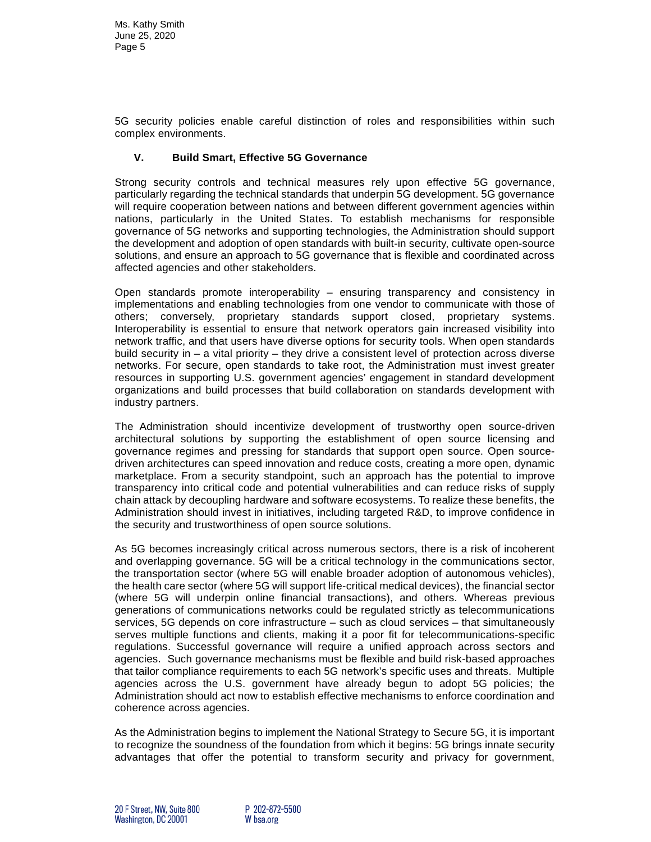Ms. Kathy Smith June 25, 2020 Page 5

5G security policies enable careful distinction of roles and responsibilities within such complex environments.

#### **V. Build Smart, Effective 5G Governance**

Strong security controls and technical measures rely upon effective 5G governance, particularly regarding the technical standards that underpin 5G development. 5G governance will require cooperation between nations and between different government agencies within nations, particularly in the United States. To establish mechanisms for responsible governance of 5G networks and supporting technologies, the Administration should support the development and adoption of open standards with built-in security, cultivate open-source solutions, and ensure an approach to 5G governance that is flexible and coordinated across affected agencies and other stakeholders.

Open standards promote interoperability – ensuring transparency and consistency in implementations and enabling technologies from one vendor to communicate with those of others; conversely, proprietary standards support closed, proprietary systems. Interoperability is essential to ensure that network operators gain increased visibility into network traffic, and that users have diverse options for security tools. When open standards build security in – a vital priority – they drive a consistent level of protection across diverse networks. For secure, open standards to take root, the Administration must invest greater resources in supporting U.S. government agencies' engagement in standard development organizations and build processes that build collaboration on standards development with industry partners.

The Administration should incentivize development of trustworthy open source-driven architectural solutions by supporting the establishment of open source licensing and governance regimes and pressing for standards that support open source. Open sourcedriven architectures can speed innovation and reduce costs, creating a more open, dynamic marketplace. From a security standpoint, such an approach has the potential to improve transparency into critical code and potential vulnerabilities and can reduce risks of supply chain attack by decoupling hardware and software ecosystems. To realize these benefits, the Administration should invest in initiatives, including targeted R&D, to improve confidence in the security and trustworthiness of open source solutions.

As 5G becomes increasingly critical across numerous sectors, there is a risk of incoherent and overlapping governance. 5G will be a critical technology in the communications sector, the transportation sector (where 5G will enable broader adoption of autonomous vehicles), the health care sector (where 5G will support life-critical medical devices), the financial sector (where 5G will underpin online financial transactions), and others. Whereas previous generations of communications networks could be regulated strictly as telecommunications services, 5G depends on core infrastructure – such as cloud services – that simultaneously serves multiple functions and clients, making it a poor fit for telecommunications-specific regulations. Successful governance will require a unified approach across sectors and agencies. Such governance mechanisms must be flexible and build risk-based approaches that tailor compliance requirements to each 5G network's specific uses and threats. Multiple agencies across the U.S. government have already begun to adopt 5G policies; the Administration should act now to establish effective mechanisms to enforce coordination and coherence across agencies.

As the Administration begins to implement the National Strategy to Secure 5G, it is important to recognize the soundness of the foundation from which it begins: 5G brings innate security advantages that offer the potential to transform security and privacy for government,